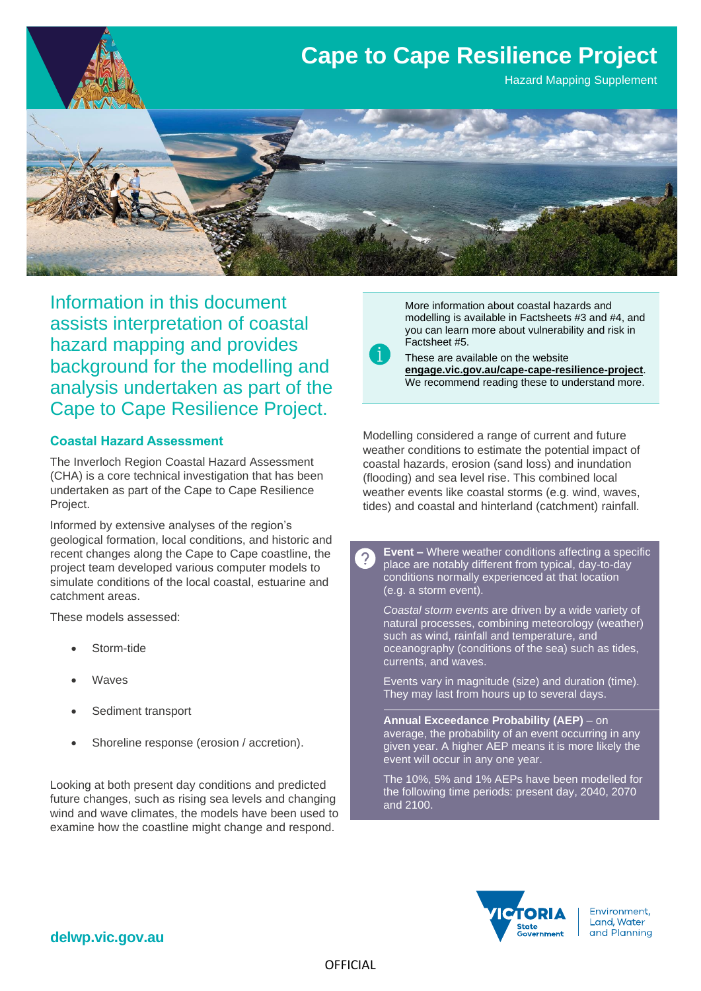

Information in this document assists interpretation of coastal hazard mapping and provides background for the modelling and analysis undertaken as part of the Cape to Cape Resilience Project.

# **Coastal Hazard Assessment**

The Inverloch Region Coastal Hazard Assessment (CHA) is a core technical investigation that has been undertaken as part of the Cape to Cape Resilience Project.

Informed by extensive analyses of the region's geological formation, local conditions, and historic and recent changes along the Cape to Cape coastline, the project team developed various computer models to simulate conditions of the local coastal, estuarine and catchment areas.

These models assessed:

- Storm-tide
- Waves
- Sediment transport
- Shoreline response (erosion / accretion).

Looking at both present day conditions and predicted future changes, such as rising sea levels and changing wind and wave climates, the models have been used to examine how the coastline might change and respond.

More information about coastal hazards and modelling is available in Factsheets #3 and #4, and you can learn more about vulnerability and risk in Factsheet #5.

These are available on the website **[engage.vic.gov.au/cape-cape-resilience-project](https://engage.vic.gov.au/cape-cape-resilience-project)**. We recommend reading these to understand more.

Modelling considered a range of current and future weather conditions to estimate the potential impact of coastal hazards, erosion (sand loss) and inundation (flooding) and sea level rise. This combined local weather events like coastal storms (e.g. wind, waves, tides) and coastal and hinterland (catchment) rainfall.

**Event –** Where weather conditions affecting a specific  $\mathcal{P}$ place are notably different from typical, day-to-day conditions normally experienced at that location (e.g. a storm event).

*Coastal storm events* are driven by a wide variety of natural processes, combining meteorology (weather) such as wind, rainfall and temperature, and oceanography (conditions of the sea) such as tides, currents, and waves.

Events vary in magnitude (size) and duration (time). They may last from hours up to several days.

**Annual Exceedance Probability (AEP)** – on average, the probability of an event occurring in any given year. A higher AEP means it is more likely the event will occur in any one year.

The 10%, 5% and 1% AEPs have been modelled for the following time periods: present day, 2040, 2070 and 2100.



Environment, Land, Water and Planning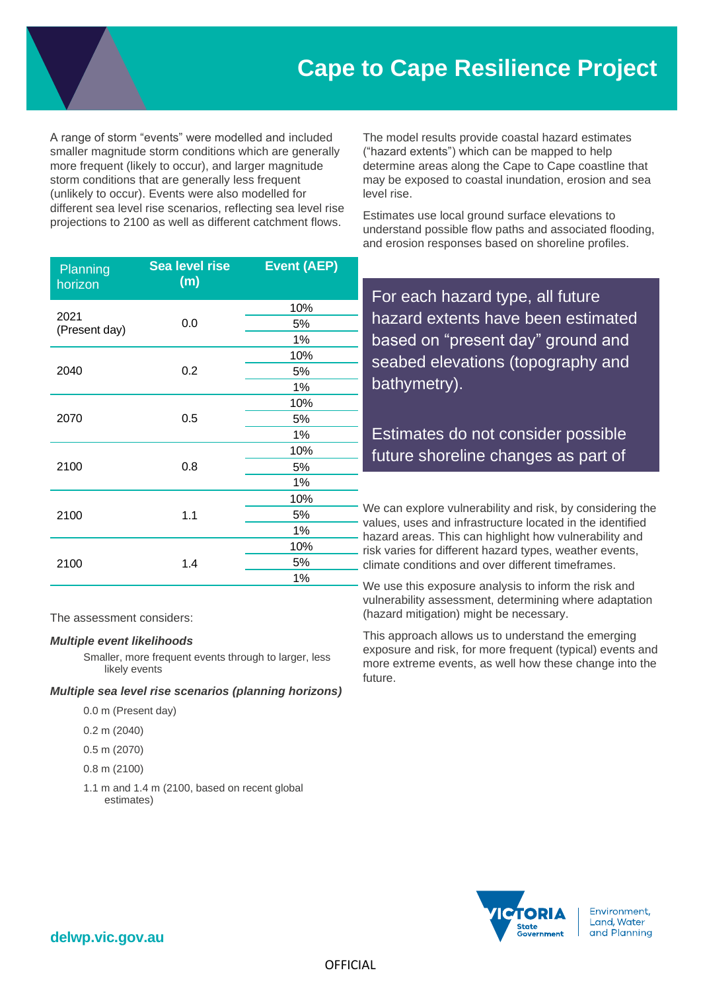# **Cape to Cape Resilience Project**

A range of storm "events" were modelled and included smaller magnitude storm conditions which are generally more frequent (likely to occur), and larger magnitude storm conditions that are generally less frequent (unlikely to occur). Events were also modelled for different sea level rise scenarios, reflecting sea level rise projections to 2100 as well as different catchment flows.

The model results provide coastal hazard estimates ("hazard extents") which can be mapped to help determine areas along the Cape to Cape coastline that may be exposed to coastal inundation, erosion and sea level rise.

Estimates use local ground surface elevations to understand possible flow paths and associated flooding, and erosion responses based on shoreline profiles.

| Planning<br>horizon   | <b>Sea level rise</b><br>(m) | <b>Event (AEP)</b> |
|-----------------------|------------------------------|--------------------|
|                       |                              | 10%                |
| 2021<br>(Present day) | 0.0                          | 5%                 |
|                       |                              | 1%                 |
|                       |                              | 10%                |
| 2040                  | 0.2                          | 5%                 |
|                       |                              | 1%                 |
| 2070                  | 0.5                          | 10%                |
|                       |                              | 5%                 |
|                       |                              | 1%                 |
| 2100                  | 0.8                          | 10%                |
|                       |                              | 5%                 |
|                       |                              | 1%                 |
| 2100                  | 1.1                          | 10%                |
|                       |                              | 5%                 |
|                       |                              | 1%                 |
|                       | 1.4                          | 10%                |
| 2100                  |                              | 5%                 |
|                       |                              | 1%                 |

The assessment considers:

#### *Multiple event likelihoods*

Smaller, more frequent events through to larger, less likely events

#### *Multiple sea level rise scenarios (planning horizons)*

0.0 m (Present day)

0.2 m (2040)

0.5 m (2070)

0.8 m (2100)

1.1 m and 1.4 m (2100, based on recent global estimates)

For each hazard type, all future hazard extents have been estimated based on "present day" ground and seabed elevations (topography and bathymetry).

Estimates do not consider possible future shoreline changes as part of

calculations.

We can explore vulnerability and risk, by considering the values, uses and infrastructure located in the identified hazard areas. This can highlight how vulnerability and risk varies for different hazard types, weather events, climate conditions and over different timeframes.

We use this exposure analysis to inform the risk and vulnerability assessment, determining where adaptation (hazard mitigation) might be necessary.

This approach allows us to understand the emerging exposure and risk, for more frequent (typical) events and more extreme events, as well how these change into the future.

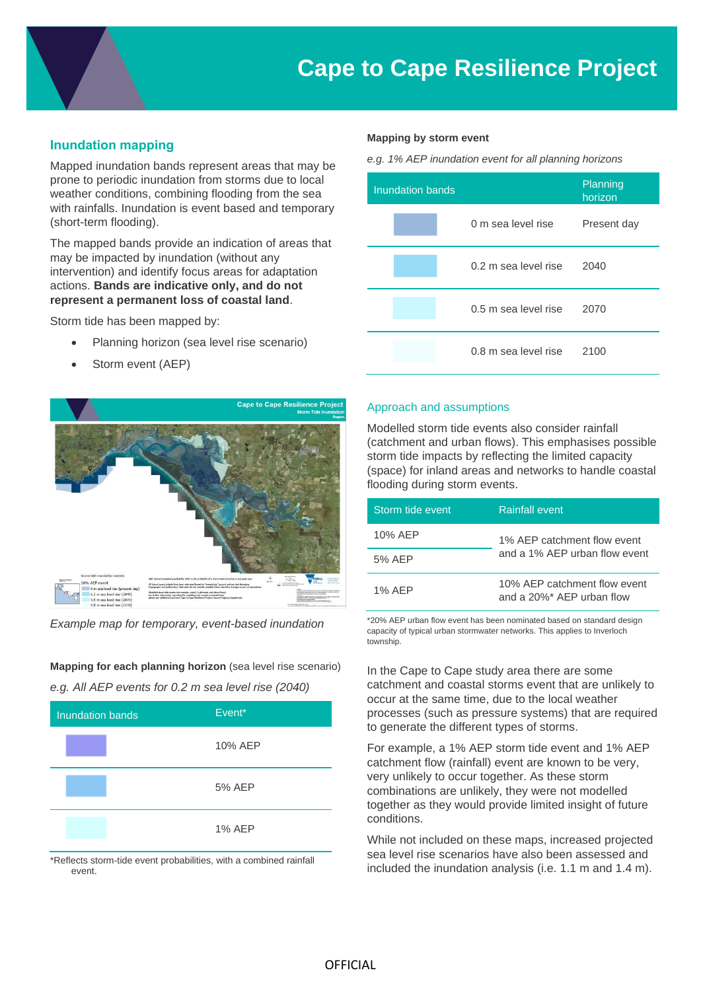# **Inundation mapping**

Mapped inundation bands represent areas that may be prone to periodic inundation from storms due to local weather conditions, combining flooding from the sea with rainfalls. Inundation is event based and temporary (short-term flooding).

The mapped bands provide an indication of areas that may be impacted by inundation (without any intervention) and identify focus areas for adaptation actions. **Bands are indicative only, and do not represent a permanent loss of coastal land**.

Storm tide has been mapped by:

- Planning horizon (sea level rise scenario)
- Storm event (AEP)



*Example map for temporary, event-based inundation*

**Mapping for each planning horizon** (sea level rise scenario) *e.g. All AEP events for 0.2 m sea level rise (2040)*



\*Reflects storm-tide event probabilities, with a combined rainfall event.

#### **Mapping by storm event**

*e.g. 1% AEP inundation event for all planning horizons* 

| Inundation bands |                        | Planning<br>horizon |
|------------------|------------------------|---------------------|
|                  | 0 m sea level rise     | Present day         |
|                  | 0.2 m sea level rise   | 2040                |
|                  | $0.5$ m sea level rise | 2070                |
|                  | $0.8$ m sea level rise | 2100                |

# Approach and assumptions

Modelled storm tide events also consider rainfall (catchment and urban flows). This emphasises possible storm tide impacts by reflecting the limited capacity (space) for inland areas and networks to handle coastal flooding during storm events.

| Storm tide event | Rainfall event                                            |  |
|------------------|-----------------------------------------------------------|--|
| 10% AEP          | 1% AEP catchment flow event                               |  |
| 5% AFP           | and a 1% AEP urban flow event                             |  |
| 1% AFP           | 10% AEP catchment flow event<br>and a 20%* AEP urban flow |  |

\*20% AEP urban flow event has been nominated based on standard design capacity of typical urban stormwater networks. This applies to Inverloch township.

In the Cape to Cape study area there are some catchment and coastal storms event that are unlikely to occur at the same time, due to the local weather processes (such as pressure systems) that are required to generate the different types of storms.

For example, a 1% AEP storm tide event and 1% AEP catchment flow (rainfall) event are known to be very, very unlikely to occur together. As these storm combinations are unlikely, they were not modelled together as they would provide limited insight of future conditions.

While not included on these maps, increased projected sea level rise scenarios have also been assessed and included the inundation analysis (i.e. 1.1 m and 1.4 m).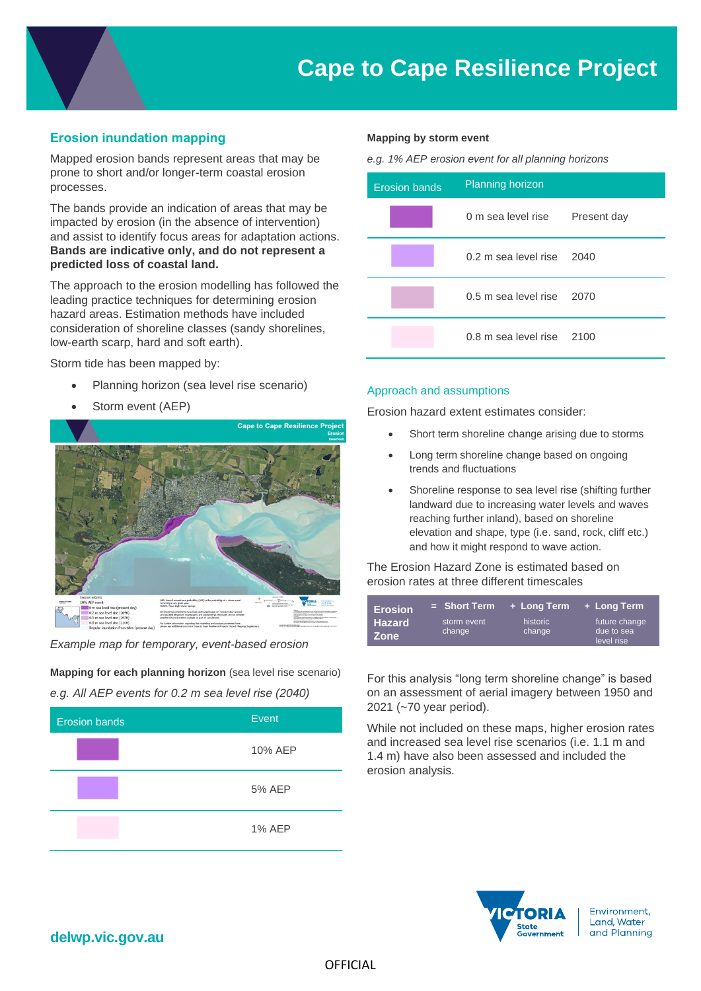# **Erosion inundation mapping**

Mapped erosion bands represent areas that may be prone to short and/or longer-term coastal erosion processes.

The bands provide an indication of areas that may be impacted by erosion (in the absence of intervention) and assist to identify focus areas for adaptation actions. **Bands are indicative only, and do not represent a predicted loss of coastal land.**

The approach to the erosion modelling has followed the leading practice techniques for determining erosion hazard areas. Estimation methods have included consideration of shoreline classes (sandy shorelines, low-earth scarp, hard and soft earth).

Storm tide has been mapped by:

- Planning horizon (sea level rise scenario)
- Storm event (AEP)



*Example map for temporary, event-based erosion*

**Mapping for each planning horizon** (sea level rise scenario) *e.g. All AEP events for 0.2 m sea level rise (2040)*



### **Mapping by storm event**

*e.g. 1% AEP erosion event for all planning horizons* 

| <b>Erosion bands</b> | <b>Planning horizon</b>               |             |  |
|----------------------|---------------------------------------|-------------|--|
|                      | 0 m sea level rise                    | Present day |  |
|                      | $0.2 \text{ m}$ sea level rise $2040$ |             |  |
|                      | $0.5$ m sea level rise $2070$         |             |  |
|                      | 0.8 m sea level rise 2100             |             |  |

# Approach and assumptions

Erosion hazard extent estimates consider:

- Short term shoreline change arising due to storms
- Long term shoreline change based on ongoing trends and fluctuations
- Shoreline response to sea level rise (shifting further landward due to increasing water levels and waves reaching further inland), based on shoreline elevation and shape, type (i.e. sand, rock, cliff etc.) and how it might respond to wave action.

The Erosion Hazard Zone is estimated based on erosion rates at three different timescales

| <b>Erosion</b>               | $=$ Short Term        | + Long Term        | + Long Term                               |
|------------------------------|-----------------------|--------------------|-------------------------------------------|
| <b>Hazard</b><br><b>Zone</b> | storm event<br>change | historic<br>change | future change<br>due to sea<br>level rise |

For this analysis "long term shoreline change" is based on an assessment of aerial imagery between 1950 and 2021 (~70 year period).

While not included on these maps, higher erosion rates and increased sea level rise scenarios (i.e. 1.1 m and 1.4 m) have also been assessed and included the erosion analysis.



**delwp.vic.gov.au**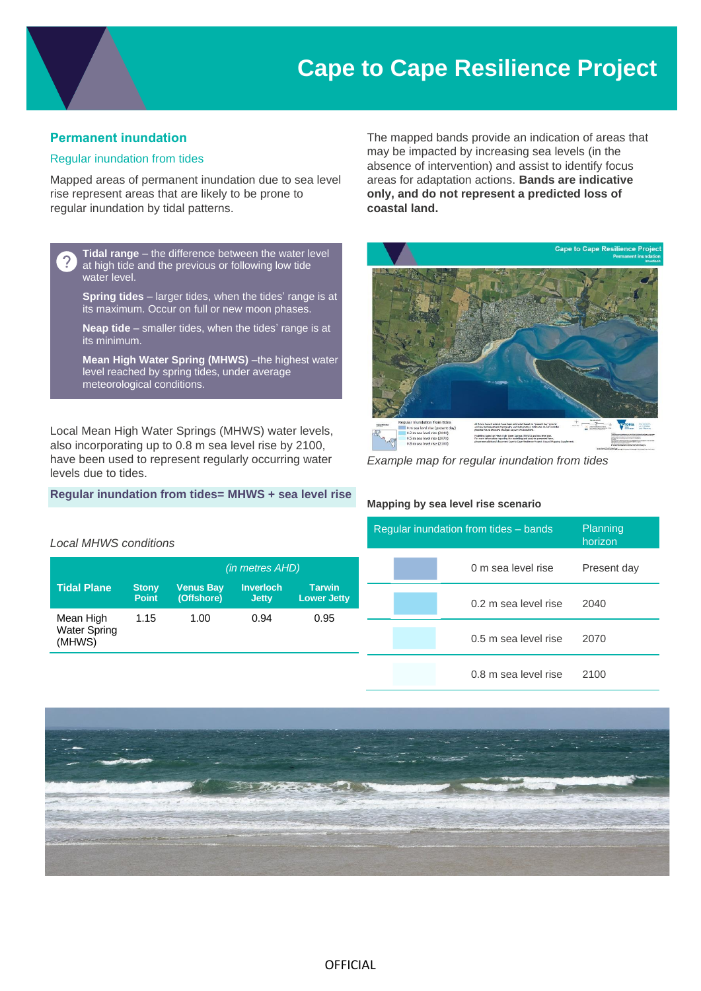# **Cape to Cape Resilience Project**

# **Permanent inundation**

### Regular inundation from tides

Mapped areas of permanent inundation due to sea level rise represent areas that are likely to be prone to regular inundation by tidal patterns.

**Tidal range** – the difference between the water level at high tide and the previous or following low tide water level. **Spring tides** – larger tides, when the tides' range is at its maximum. Occur on full or new moon phases.

**Neap tide** – smaller tides, when the tides' range is at its minimum.

**Mean High Water Spring (MHWS)** –the highest water level reached by spring tides, under average meteorological conditions.

Local Mean High Water Springs (MHWS) water levels, also incorporating up to 0.8 m sea level rise by 2100, have been used to represent regularly occurring water levels due to tides.

### **Regular inundation from tides= MHWS + sea level rise**

*Local MHWS conditions* 

|                                            |                              | <i>(in metres AHD)</i>         |                                  |                                     |
|--------------------------------------------|------------------------------|--------------------------------|----------------------------------|-------------------------------------|
| <b>Tidal Plane</b>                         | <b>Stony</b><br><b>Point</b> | <b>Venus Bay</b><br>(Offshore) | <b>Inverloch</b><br><b>Jetty</b> | <b>Tarwin</b><br><b>Lower Jetty</b> |
| Mean High<br><b>Water Spring</b><br>(MHWS) | 1.15                         | 1.00                           | 0.94                             | 0.95                                |

The mapped bands provide an indication of areas that may be impacted by increasing sea levels (in the absence of intervention) and assist to identify focus areas for adaptation actions. **Bands are indicative only, and do not represent a predicted loss of coastal land.**



*Example map for regular inundation from tides*

#### **Mapping by sea level rise scenario**

| Regular inundation from tides – bands |                      | Planning<br>horizon |
|---------------------------------------|----------------------|---------------------|
|                                       | 0 m sea level rise   | Present day         |
|                                       | 0.2 m sea level rise | 2040                |
|                                       | 0.5 m sea level rise | 2070                |
|                                       | 0.8 m sea level rise | 2100                |

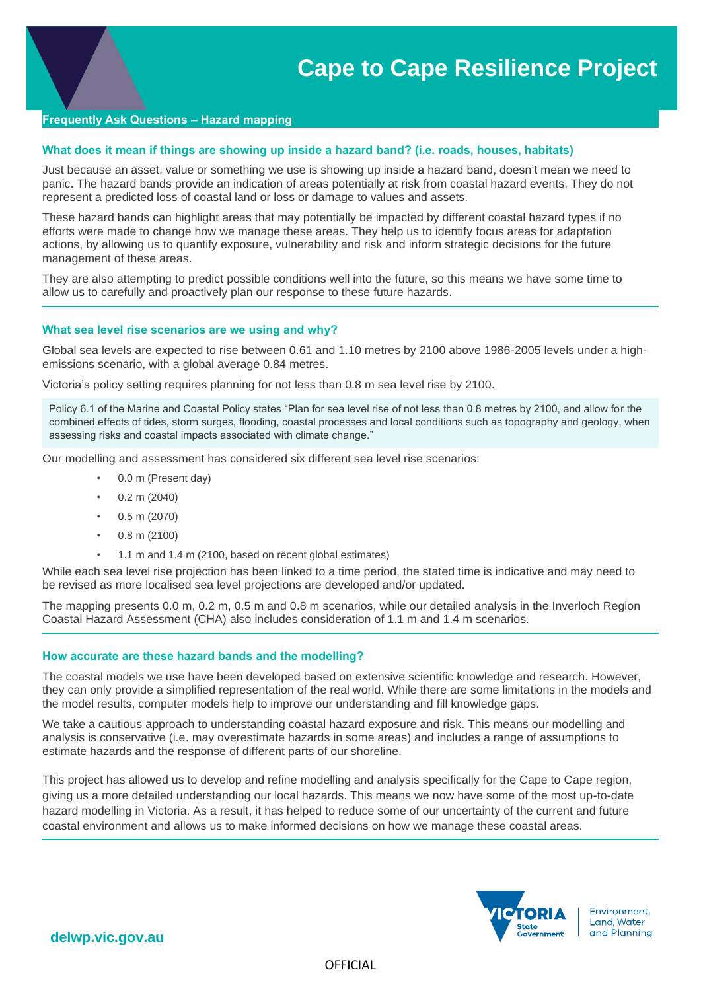# **Frequently Ask Questions – Hazard mapping**

#### **What does it mean if things are showing up inside a hazard band? (i.e. roads, houses, habitats)**

Just because an asset, value or something we use is showing up inside a hazard band, doesn't mean we need to panic. The hazard bands provide an indication of areas potentially at risk from coastal hazard events. They do not represent a predicted loss of coastal land or loss or damage to values and assets.

These hazard bands can highlight areas that may potentially be impacted by different coastal hazard types if no efforts were made to change how we manage these areas. They help us to identify focus areas for adaptation actions, by allowing us to quantify exposure, vulnerability and risk and inform strategic decisions for the future management of these areas.

They are also attempting to predict possible conditions well into the future, so this means we have some time to allow us to carefully and proactively plan our response to these future hazards.

#### **What sea level rise scenarios are we using and why?**

Global sea levels are expected to rise between 0.61 and 1.10 metres by 2100 above 1986-2005 levels under a highemissions scenario, with a global average 0.84 metres.

Victoria's policy setting requires planning for not less than 0.8 m sea level rise by 2100.

Policy 6.1 of the Marine and Coastal Policy states "Plan for sea level rise of not less than 0.8 metres by 2100, and allow for the combined effects of tides, storm surges, flooding, coastal processes and local conditions such as topography and geology, when assessing risks and coastal impacts associated with climate change."

Our modelling and assessment has considered six different sea level rise scenarios:

- 0.0 m (Present day)
- 0.2 m (2040)
- 0.5 m (2070)
- 0.8 m (2100)
- 1.1 m and 1.4 m (2100, based on recent global estimates)

While each sea level rise projection has been linked to a time period, the stated time is indicative and may need to be revised as more localised sea level projections are developed and/or updated.

The mapping presents 0.0 m, 0.2 m, 0.5 m and 0.8 m scenarios, while our detailed analysis in the Inverloch Region Coastal Hazard Assessment (CHA) also includes consideration of 1.1 m and 1.4 m scenarios.

#### **How accurate are these hazard bands and the modelling?**

The coastal models we use have been developed based on extensive scientific knowledge and research. However, they can only provide a simplified representation of the real world. While there are some limitations in the models and the model results, computer models help to improve our understanding and fill knowledge gaps.

We take a cautious approach to understanding coastal hazard exposure and risk. This means our modelling and analysis is conservative (i.e. may overestimate hazards in some areas) and includes a range of assumptions to estimate hazards and the response of different parts of our shoreline.

This project has allowed us to develop and refine modelling and analysis specifically for the Cape to Cape region, giving us a more detailed understanding our local hazards. This means we now have some of the most up-to-date hazard modelling in Victoria. As a result, it has helped to reduce some of our uncertainty of the current and future coastal environment and allows us to make informed decisions on how we manage these coastal areas.



Environment, Land, Water and Planning